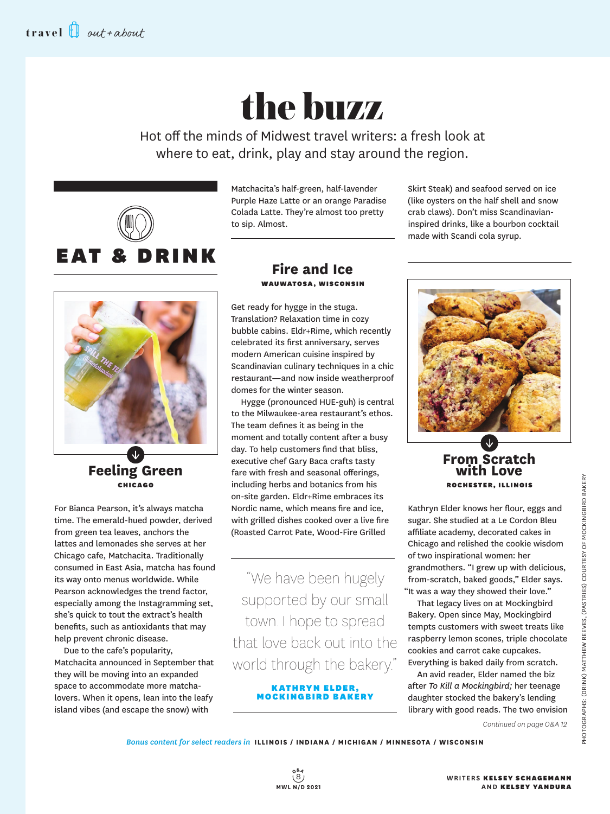# the buzz

Hot off the minds of Midwest travel writers: a fresh look at where to eat, drink, play and stay around the region.



Matchacita's half-green, half-lavender Purple Haze Latte or an orange Paradise Colada Latte. They're almost too pretty to sip. Almost.

**Feeling Green** CHICAGO

For Bianca Pearson, it's always matcha time. The emerald-hued powder, derived from green tea leaves, anchors the lattes and lemonades she serves at her Chicago cafe, Matchacita. Traditionally consumed in East Asia, matcha has found its way onto menus worldwide. While Pearson acknowledges the trend factor, especially among the Instagramming set, she's quick to tout the extract's health benefits, such as antioxidants that may help prevent chronic disease.

Due to the cafe's popularity, Matchacita announced in September that they will be moving into an expanded space to accommodate more matchalovers. When it opens, lean into the leafy island vibes (and escape the snow) with

### **Fire and Ice** WAUWATOSA, WISCONSIN

Get ready for hygge in the stuga. Translation? Relaxation time in cozy bubble cabins. Eldr+Rime, which recently celebrated its first anniversary, serves modern American cuisine inspired by Scandinavian culinary techniques in a chic restaurant—and now inside weatherproof domes for the winter season.

Hygge (pronounced HUE-guh) is central to the Milwaukee-area restaurant's ethos. The team defines it as being in the moment and totally content after a busy day. To help customers find that bliss, executive chef Gary Baca crafts tasty fare with fresh and seasonal offerings, including herbs and botanics from his on-site garden. Eldr+Rime embraces its Nordic name, which means fire and ice, with grilled dishes cooked over a live fire (Roasted Carrot Pate, Wood-Fire Grilled

"We have been hugely supported by our small town. I hope to spread that love back out into the world through the bakery."

> KATHRYN ELDER, MOCKINGBIRD BAKERY

Skirt Steak) and seafood served on ice (like oysters on the half shell and snow crab claws). Don't miss Scandinavianinspired drinks, like a bourbon cocktail made with Scandi cola syrup.



**From Scratch with Love** ROCHESTER, ILLINOIS

Kathryn Elder knows her flour, eggs and sugar. She studied at a Le Cordon Bleu affiliate academy, decorated cakes in Chicago and relished the cookie wisdom of two inspirational women: her grandmothers. "I grew up with delicious, from-scratch, baked goods," Elder says. "It was a way they showed their love."

That legacy lives on at Mockingbird Bakery. Open since May, Mockingbird tempts customers with sweet treats like raspberry lemon scones, triple chocolate cookies and carrot cake cupcakes. Everything is baked daily from scratch.

An avid reader, Elder named the biz after *To Kill a Mockingbird;* her teenage daughter stocked the bakery's lending library with good reads. The two envision

*Continued on page O&A 12*

*Bonus content for select readers in* **ILLINOIS / INDIANA / MICHIGAN / MINNESOTA / WISCONSIN**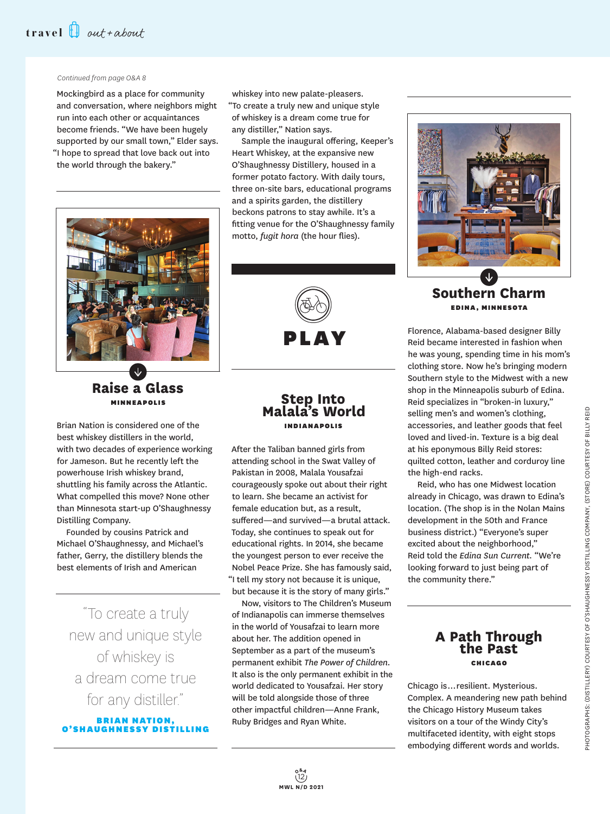#### *Continued from page O&A 8*

Mockingbird as a place for community and conversation, where neighbors might run into each other or acquaintances become friends. "We have been hugely supported by our small town," Elder says. "I hope to spread that love back out into the world through the bakery."



## **Raise a Glass** MINNEAPOLIS

Brian Nation is considered one of the best whiskey distillers in the world, with two decades of experience working for Jameson. But he recently left the powerhouse Irish whiskey brand, shuttling his family across the Atlantic. What compelled this move? None other than Minnesota start-up O'Shaughnessy Distilling Company.

Founded by cousins Patrick and Michael O'Shaughnessy, and Michael's father, Gerry, the distillery blends the best elements of Irish and American

"To create a truly new and unique style of whiskey is a dream come true for any distiller."

**BRIAN NATION,** O'SHAUGHNESSY DIS

whiskey into new palate-pleasers. "To create a truly new and unique style of whiskey is a dream come true for any distiller," Nation says.

Sample the inaugural offering, Keeper's Heart Whiskey, at the expansive new O'Shaughnessy Distillery, housed in a former potato factory. With daily tours, three on-site bars, educational programs and a spirits garden, the distillery beckons patrons to stay awhile. It's a fitting venue for the O'Shaughnessy family motto, *fugit hora* (the hour flies).



## **Step Into Malala's World** INDIANAPOLIS

After the Taliban banned girls from attending school in the Swat Valley of Pakistan in 2008, Malala Yousafzai courageously spoke out about their right to learn. She became an activist for female education but, as a result, suffered—and survived—a brutal attack. Today, she continues to speak out for educational rights. In 2014, she became the youngest person to ever receive the Nobel Peace Prize. She has famously said, "I tell my story not because it is unique, but because it is the story of many girls."

Now, visitors to The Children's Museum of Indianapolis can immerse themselves in the world of Yousafzai to learn more about her. The addition opened in September as a part of the museum's permanent exhibit *The Power of Children.* It also is the only permanent exhibit in the world dedicated to Yousafzai. Her story will be told alongside those of three other impactful children—Anne Frank, Ruby Bridges and Ryan White.



## **Southern Charm** EDINA , MINNESOTA

Florence, Alabama-based designer Billy Reid became interested in fashion when he was young, spending time in his mom's clothing store. Now he's bringing modern Southern style to the Midwest with a new shop in the Minneapolis suburb of Edina. Reid specializes in "broken-in luxury," selling men's and women's clothing, accessories, and leather goods that feel loved and lived-in. Texture is a big deal at his eponymous Billy Reid stores: quilted cotton, leather and corduroy line the high-end racks.

Reid, who has one Midwest location already in Chicago, was drawn to Edina's location. (The shop is in the Nolan Mains development in the 50th and France business district.) "Everyone's super excited about the neighborhood," Reid told the *Edina Sun Current.* "We're looking forward to just being part of the community there."

## **A Path Through the Past** CHICAGO

Chicago is … resilient. Mysterious. Complex. A meandering new path behind the Chicago History Museum takes visitors on a tour of the Windy City's multifaceted identity, with eight stops embodying different words and worlds.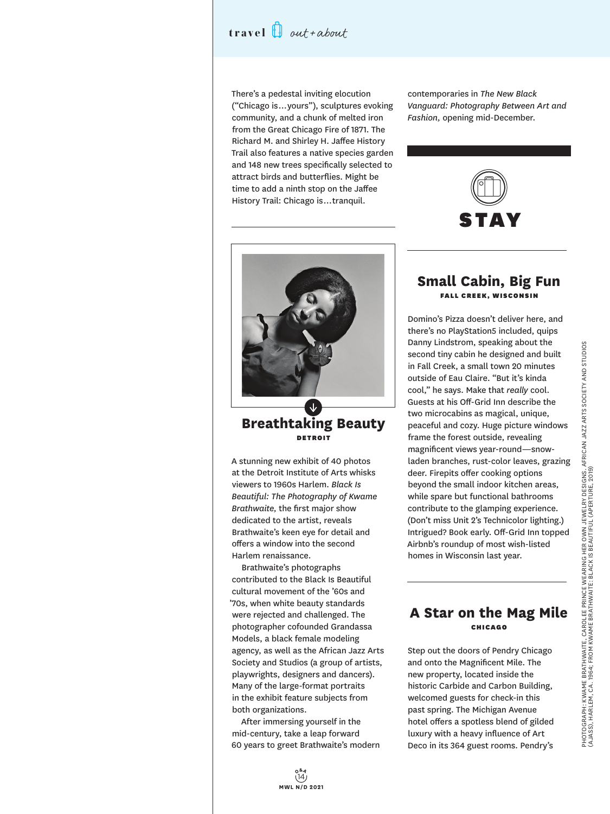## **travel** out+about

There's a pedestal inviting elocution ("Chicago is … yours"), sculptures evoking community, and a chunk of melted iron from the Great Chicago Fire of 1871. The Richard M. and Shirley H. Jaffee History Trail also features a native species garden and 148 new trees specifically selected to attract birds and butterflies. Might be time to add a ninth stop on the Jaffee History Trail: Chicago is … tranquil.

contemporaries in *The New Black Vanguard: Photography Between Art and Fashion,* opening mid-December.





#### **Breathtaking Beauty** DETROIT

A stunning new exhibit of 40 photos at the Detroit Institute of Arts whisks viewers to 1960s Harlem. *Black Is Beautiful: The Photography of Kwame Brathwaite,* the first major show dedicated to the artist, reveals Brathwaite's keen eye for detail and offers a window into the second Harlem renaissance.

Brathwaite's photographs contributed to the Black Is Beautiful cultural movement of the '60s and '70s, when white beauty standards were rejected and challenged. The photographer cofounded Grandassa Models, a black female modeling agency, as well as the African Jazz Arts Society and Studios (a group of artists, playwrights, designers and dancers). Many of the large-format portraits in the exhibit feature subjects from both organizations.

After immersing yourself in the mid-century, take a leap forward 60 years to greet Brathwaite's modern

#### **Small Cabin, Big Fun** FALL CREEK, WISCONSIN

Domino's Pizza doesn't deliver here, and there's no PlayStation5 included, quips Danny Lindstrom, speaking about the second tiny cabin he designed and built in Fall Creek, a small town 20 minutes outside of Eau Claire. "But it's kinda cool," he says. Make that *really* cool. Guests at his Off-Grid Inn describe the two microcabins as magical, unique, peaceful and cozy. Huge picture windows frame the forest outside, revealing magnificent views year-round—snowladen branches, rust-color leaves, grazing deer. Firepits offer cooking options beyond the small indoor kitchen areas, while spare but functional bathrooms contribute to the glamping experience. (Don't miss Unit 2's Technicolor lighting.) Intrigued? Book early. Off-Grid Inn topped Airbnb's roundup of most wish-listed homes in Wisconsin last year.

## **A Star on the Mag Mile** CHICAGO

Step out the doors of Pendry Chicago and onto the Magnificent Mile. The new property, located inside the historic Carbide and Carbon Building, welcomed guests for check-in this past spring. The Michigan Avenue hotel offers a spotless blend of gilded luxury with a heavy influence of Art Deco in its 364 guest rooms. Pendry's